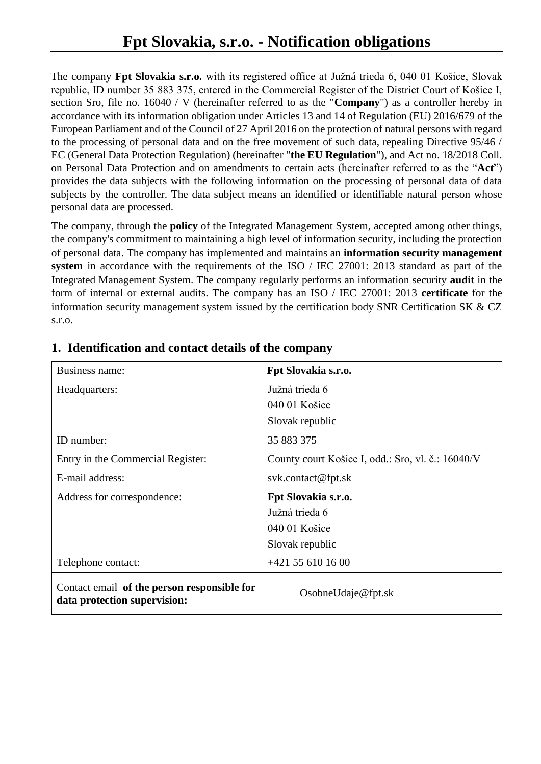The company **Fpt Slovakia s.r.o.** with its registered office at Južná trieda 6, 040 01 Košice, Slovak republic, ID number 35 883 375, entered in the Commercial Register of the District Court of Košice I, section Sro, file no. 16040 / V (hereinafter referred to as the "**Company**") as a controller hereby in accordance with its information obligation under Articles 13 and 14 of Regulation (EU) 2016/679 of the European Parliament and of the Council of 27 April 2016 on the protection of natural persons with regard to the processing of personal data and on the free movement of such data, repealing Directive 95/46 / EC (General Data Protection Regulation) (hereinafter "**the EU Regulation**"), and Act no. 18/2018 Coll. on Personal Data Protection and on amendments to certain acts (hereinafter referred to as the "**Act**") provides the data subjects with the following information on the processing of personal data of data subjects by the controller. The data subject means an identified or identifiable natural person whose personal data are processed.

The company, through the **policy** of the Integrated Management System, accepted among other things, the company's commitment to maintaining a high level of information security, including the protection of personal data. The company has implemented and maintains an **information security management system** in accordance with the requirements of the ISO / IEC 27001: 2013 standard as part of the Integrated Management System. The company regularly performs an information security **audit** in the form of internal or external audits. The company has an ISO / IEC 27001: 2013 **certificate** for the information security management system issued by the certification body SNR Certification SK & CZ s.r.o.

| Business name:                    | Fpt Slovakia s.r.o.                               |  |  |
|-----------------------------------|---------------------------------------------------|--|--|
| Headquarters:                     | Južná trieda 6                                    |  |  |
|                                   | $04001$ Košice                                    |  |  |
|                                   | Slovak republic                                   |  |  |
| ID number:                        | 35 883 375                                        |  |  |
| Entry in the Commercial Register: | County court Košice I, odd.: Sro, vl. č.: 16040/V |  |  |
| E-mail address:                   | svk.contact@fpt.sk                                |  |  |
| Address for correspondence:       | Fpt Slovakia s.r.o.                               |  |  |
|                                   | Južná trieda 6                                    |  |  |
|                                   | 040 01 Košice                                     |  |  |
|                                   | Slovak republic                                   |  |  |
|                                   |                                                   |  |  |
| Telephone contact:                | $+421$ 55 610 16 00                               |  |  |

## **1. Identification and contact details of the company**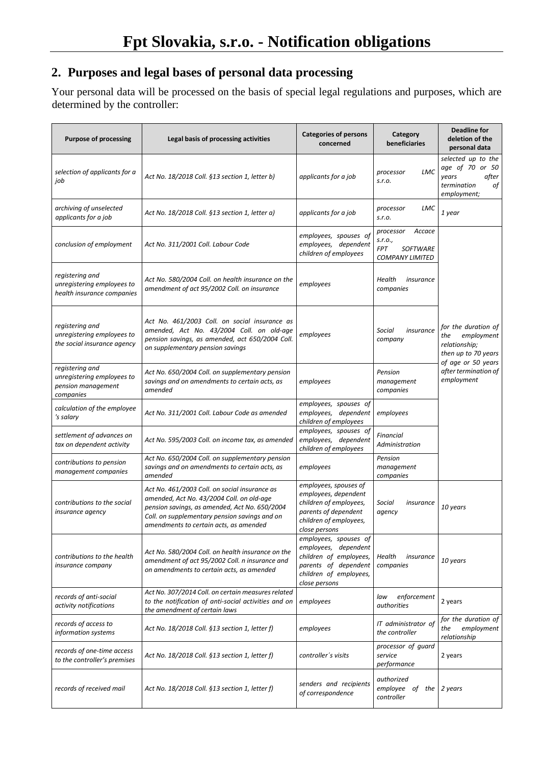# **2. Purposes and legal bases of personal data processing**

Your personal data will be processed on the basis of special legal regulations and purposes, which are determined by the controller:

| <b>Purpose of processing</b>                                                     | Legal basis of processing activities                                                                                                                                                                                                   | <b>Categories of persons</b><br>concerned                                                                                                  | Category<br>beneficiaries                                                                 | Deadline for<br>deletion of the<br>personal data                                                                                             |
|----------------------------------------------------------------------------------|----------------------------------------------------------------------------------------------------------------------------------------------------------------------------------------------------------------------------------------|--------------------------------------------------------------------------------------------------------------------------------------------|-------------------------------------------------------------------------------------------|----------------------------------------------------------------------------------------------------------------------------------------------|
| selection of applicants for a<br>job                                             | Act No. 18/2018 Coll. §13 section 1, letter b)                                                                                                                                                                                         | applicants for a job                                                                                                                       | LMC<br>processor<br>S.F.O.                                                                | selected up to the<br>age of 70 or 50<br>years<br>after<br>termination<br>оf<br>employment;                                                  |
| archiving of unselected<br>applicants for a job                                  | Act No. 18/2018 Coll. §13 section 1, letter a)                                                                                                                                                                                         | applicants for a job                                                                                                                       | LMC<br>processor<br>s.r.o.                                                                | 1 year                                                                                                                                       |
| conclusion of employment                                                         | Act No. 311/2001 Coll. Labour Code                                                                                                                                                                                                     | employees, spouses of<br>employees, dependent<br>children of employees                                                                     | Accace<br>processor<br>S.T.O.,<br><b>FPT</b><br><b>SOFTWARE</b><br><b>COMPANY LIMITED</b> | for the duration of<br>employment<br>the<br>relationship;<br>then up to 70 years<br>of age or 50 years<br>after termination of<br>employment |
| registering and<br>unregistering employees to<br>health insurance companies      | Act No. 580/2004 Coll. on health insurance on the<br>amendment of act 95/2002 Coll. on insurance                                                                                                                                       | employees                                                                                                                                  | Health<br>insurance<br>companies                                                          |                                                                                                                                              |
| registering and<br>unregistering employees to<br>the social insurance agency     | Act No. 461/2003 Coll. on social insurance as<br>amended, Act No. 43/2004 Coll. on old-age<br>pension savings, as amended, act 650/2004 Coll.<br>on supplementary pension savings                                                      | employees                                                                                                                                  | Social<br>insurance<br>company                                                            |                                                                                                                                              |
| registering and<br>unregistering employees to<br>pension management<br>companies | Act No. 650/2004 Coll. on supplementary pension<br>savings and on amendments to certain acts, as<br>amended                                                                                                                            | employees                                                                                                                                  | Pension<br>management<br>companies                                                        |                                                                                                                                              |
| calculation of the employee<br>'s salary                                         | Act No. 311/2001 Coll. Labour Code as amended                                                                                                                                                                                          | employees, spouses of<br>employees, dependent<br>children of employees                                                                     | employees                                                                                 |                                                                                                                                              |
| settlement of advances on<br>tax on dependent activity                           | Act No. 595/2003 Coll. on income tax, as amended                                                                                                                                                                                       | employees, spouses of<br>employees, dependent<br>children of employees                                                                     | Financial<br>Administration                                                               |                                                                                                                                              |
| contributions to pension<br>management companies                                 | Act No. 650/2004 Coll. on supplementary pension<br>savings and on amendments to certain acts, as<br>amended                                                                                                                            | employees                                                                                                                                  | Pension<br>management<br>companies                                                        |                                                                                                                                              |
| contributions to the social<br>insurance agency                                  | Act No. 461/2003 Coll. on social insurance as<br>amended, Act No. 43/2004 Coll. on old-age<br>pension savings, as amended, Act No. 650/2004<br>Coll. on supplementary pension savings and on<br>amendments to certain acts, as amended | employees, spouses of<br>employees, dependent<br>children of employees,<br>parents of dependent<br>children of employees,<br>close persons | Social<br>insurance<br>agency                                                             | 10 years                                                                                                                                     |
| contributions to the health<br><i>insurance company</i>                          | Act No. 580/2004 Coll. on health insurance on the<br>amendment of act 95/2002 Coll. n insurance and<br>on amendments to certain acts, as amended                                                                                       | employees, spouses of<br>employees, dependent<br>children of employees,<br>parents of dependent<br>children of employees,<br>close persons | Health<br>insurance<br>companies                                                          | 10 years                                                                                                                                     |
| records of anti-social<br>activity notifications                                 | Act No. 307/2014 Coll. on certain measures related<br>to the notification of anti-social activities and on<br>the amendment of certain laws                                                                                            | employees                                                                                                                                  | enforcement<br>law<br><i>authorities</i>                                                  | 2 years                                                                                                                                      |
| records of access to<br>information systems                                      | Act No. 18/2018 Coll. §13 section 1, letter f)                                                                                                                                                                                         | employees                                                                                                                                  | IT administrator of<br>the controller                                                     | for the duration of<br>employment<br>the<br>relationship                                                                                     |
| records of one-time access<br>to the controller's premises                       | Act No. 18/2018 Coll. §13 section 1, letter f)                                                                                                                                                                                         | controller's visits                                                                                                                        | processor of quard<br>service<br>performance                                              | 2 years                                                                                                                                      |
| records of received mail                                                         | Act No. 18/2018 Coll. §13 section 1, letter f)                                                                                                                                                                                         | senders and recipients<br>of correspondence                                                                                                | authorized<br>employee of the<br>controller                                               | 2 years                                                                                                                                      |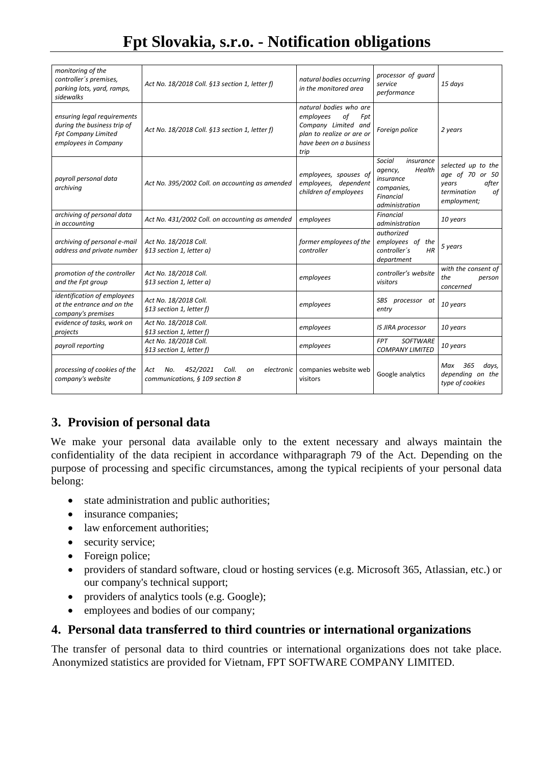# **Fpt Slovakia, s.r.o. - Notification obligations**

| monitoring of the<br>controller's premises,<br>parking lots, yard, ramps,<br>sidewalks                           | Act No. 18/2018 Coll. §13 section 1, letter f)                                         | natural bodies occurring<br>in the monitored area                                                                                       | processor of quard<br>service<br>performance                                                       | 15 days                                                                                     |
|------------------------------------------------------------------------------------------------------------------|----------------------------------------------------------------------------------------|-----------------------------------------------------------------------------------------------------------------------------------------|----------------------------------------------------------------------------------------------------|---------------------------------------------------------------------------------------------|
| ensuring legal requirements<br>during the business trip of<br><b>Fpt Company Limited</b><br>employees in Company | Act No. 18/2018 Coll. §13 section 1, letter f)                                         | natural bodies who are<br>employees<br>оf<br>Fpt<br>Company Limited and<br>plan to realize or are or<br>have been on a business<br>trip | Foreign police                                                                                     | 2 years                                                                                     |
| payroll personal data<br>archiving                                                                               | Act No. 395/2002 Coll. on accounting as amended                                        | employees, spouses of<br>employees, dependent<br>children of employees                                                                  | Social<br>insurance<br>Health<br>agency,<br>insurance<br>companies,<br>Financial<br>administration | selected up to the<br>age of 70 or 50<br>after<br>years<br>termination<br>оf<br>employment; |
| archiving of personal data<br>in accounting                                                                      | Act No. 431/2002 Coll. on accounting as amended                                        | employees                                                                                                                               | <b>Financial</b><br>administration                                                                 | 10 years                                                                                    |
| archiving of personal e-mail<br>address and private number                                                       | Act No. 18/2018 Coll.<br>§13 section 1, letter a)                                      | former employees of the<br>controller                                                                                                   | authorized<br>employees of the<br>controller's<br>HR<br>department                                 | 5 years                                                                                     |
| promotion of the controller<br>and the Fpt group                                                                 | Act No. 18/2018 Coll.<br>§13 section 1, letter a)                                      | employees                                                                                                                               | controller's website<br>visitors                                                                   | with the consent of<br>the<br>person<br>concerned                                           |
| identification of employees<br>at the entrance and on the<br>company's premises                                  | Act No. 18/2018 Coll.<br>§13 section 1, letter f)                                      | employees                                                                                                                               | SBS processor at<br>entry                                                                          | 10 years                                                                                    |
| evidence of tasks, work on<br>projects                                                                           | Act No. 18/2018 Coll.<br>§13 section 1, letter f)                                      | employees                                                                                                                               | IS JIRA processor                                                                                  | 10 years                                                                                    |
| payroll reporting                                                                                                | Act No. 18/2018 Coll.<br>§13 section 1, letter f)                                      | employees                                                                                                                               | <b>FPT</b><br><b>SOFTWARE</b><br><b>COMPANY LIMITED</b>                                            | 10 years                                                                                    |
| processing of cookies of the<br>company's website                                                                | 452/2021<br>Coll.<br>No.<br>electronic<br>Act<br>on<br>communications, § 109 section 8 | companies website web<br>visitors                                                                                                       | Google analytics                                                                                   | 365<br>days,<br>Max<br>depending on the<br>type of cookies                                  |

## **3. Provision of personal data**

We make your personal data available only to the extent necessary and always maintain the confidentiality of the data recipient in accordance withparagraph 79 of the Act. Depending on the purpose of processing and specific circumstances, among the typical recipients of your personal data belong:

- state administration and public authorities;
- insurance companies;
- law enforcement authorities;
- security service;
- Foreign police;
- providers of standard software, cloud or hosting services (e.g. Microsoft 365, Atlassian, etc.) or our company's technical support;
- providers of analytics tools (e.g. Google);
- employees and bodies of our company;

#### **4. Personal data transferred to third countries or international organizations**

The transfer of personal data to third countries or international organizations does not take place. Anonymized statistics are provided for Vietnam, FPT SOFTWARE COMPANY LIMITED.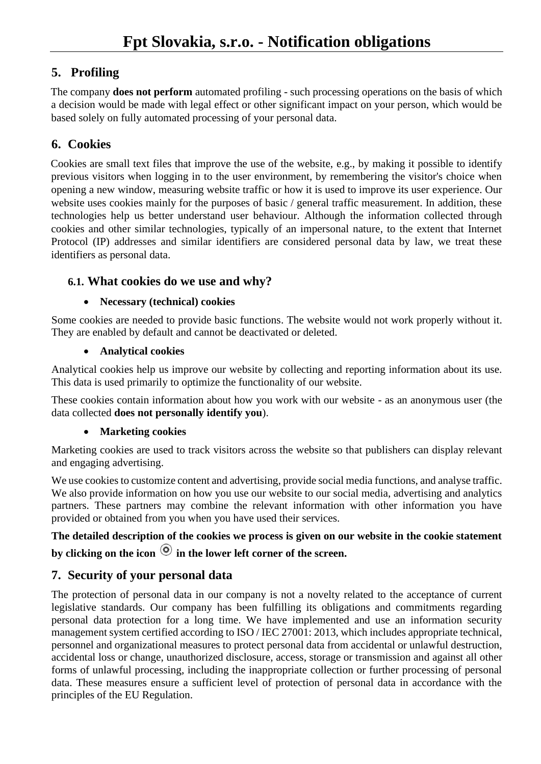# **5. Profiling**

The company **does not perform** automated profiling - such processing operations on the basis of which a decision would be made with legal effect or other significant impact on your person, which would be based solely on fully automated processing of your personal data.

## **6. Cookies**

Cookies are small text files that improve the use of the website, e.g., by making it possible to identify previous visitors when logging in to the user environment, by remembering the visitor's choice when opening a new window, measuring website traffic or how it is used to improve its user experience. Our website uses cookies mainly for the purposes of basic / general traffic measurement. In addition, these technologies help us better understand user behaviour. Although the information collected through cookies and other similar technologies, typically of an impersonal nature, to the extent that Internet Protocol (IP) addresses and similar identifiers are considered personal data by law, we treat these identifiers as personal data.

#### **6.1. What cookies do we use and why?**

#### • **Necessary (technical) cookies**

Some cookies are needed to provide basic functions. The website would not work properly without it. They are enabled by default and cannot be deactivated or deleted.

#### • **Analytical cookies**

Analytical cookies help us improve our website by collecting and reporting information about its use. This data is used primarily to optimize the functionality of our website.

These cookies contain information about how you work with our website - as an anonymous user (the data collected **does not personally identify you**).

#### • **Marketing cookies**

Marketing cookies are used to track visitors across the website so that publishers can display relevant and engaging advertising.

We use cookies to customize content and advertising, provide social media functions, and analyse traffic. We also provide information on how you use our website to our social media, advertising and analytics partners. These partners may combine the relevant information with other information you have provided or obtained from you when you have used their services.

**The detailed description of the cookies we process is given on our website in the cookie statement**  by clicking on the icon  $\circledcirc$  in the lower left corner of the screen.

## **7. Security of your personal data**

The protection of personal data in our company is not a novelty related to the acceptance of current legislative standards. Our company has been fulfilling its obligations and commitments regarding personal data protection for a long time. We have implemented and use an information security management system certified according to ISO / IEC 27001: 2013, which includes appropriate technical, personnel and organizational measures to protect personal data from accidental or unlawful destruction, accidental loss or change, unauthorized disclosure, access, storage or transmission and against all other forms of unlawful processing, including the inappropriate collection or further processing of personal data. These measures ensure a sufficient level of protection of personal data in accordance with the principles of the EU Regulation.